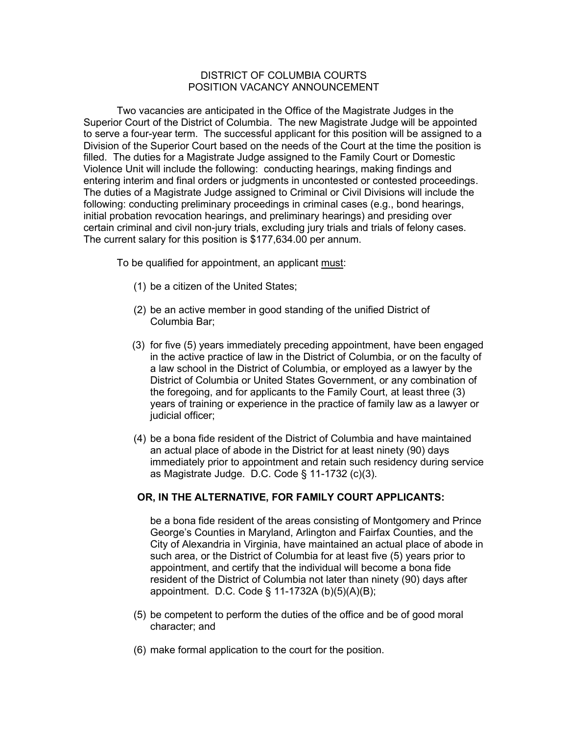## DISTRICT OF COLUMBIA COURTS POSITION VACANCY ANNOUNCEMENT

Two vacancies are anticipated in the Office of the Magistrate Judges in the Superior Court of the District of Columbia. The new Magistrate Judge will be appointed to serve a four-year term. The successful applicant for this position will be assigned to a Division of the Superior Court based on the needs of the Court at the time the position is filled. The duties for a Magistrate Judge assigned to the Family Court or Domestic Violence Unit will include the following: conducting hearings, making findings and entering interim and final orders or judgments in uncontested or contested proceedings. The duties of a Magistrate Judge assigned to Criminal or Civil Divisions will include the following: conducting preliminary proceedings in criminal cases (e.g., bond hearings, initial probation revocation hearings, and preliminary hearings) and presiding over certain criminal and civil non-jury trials, excluding jury trials and trials of felony cases. The current salary for this position is \$177,634.00 per annum.

To be qualified for appointment, an applicant must:

- (1) be a citizen of the United States;
- (2) be an active member in good standing of the unified District of Columbia Bar;
- (3) for five (5) years immediately preceding appointment, have been engaged in the active practice of law in the District of Columbia, or on the faculty of a law school in the District of Columbia, or employed as a lawyer by the District of Columbia or United States Government, or any combination of the foregoing, and for applicants to the Family Court, at least three (3) years of training or experience in the practice of family law as a lawyer or judicial officer;
- (4) be a bona fide resident of the District of Columbia and have maintained an actual place of abode in the District for at least ninety (90) days immediately prior to appointment and retain such residency during service as Magistrate Judge. D.C. Code § 11-1732 (c)(3).

## **OR, IN THE ALTERNATIVE, FOR FAMILY COURT APPLICANTS:**

be a bona fide resident of the areas consisting of Montgomery and Prince George's Counties in Maryland, Arlington and Fairfax Counties, and the City of Alexandria in Virginia, have maintained an actual place of abode in such area, or the District of Columbia for at least five (5) years prior to appointment, and certify that the individual will become a bona fide resident of the District of Columbia not later than ninety (90) days after appointment. D.C. Code § 11-1732A (b)(5)(A)(B);

- (5) be competent to perform the duties of the office and be of good moral character; and
- (6) make formal application to the court for the position.